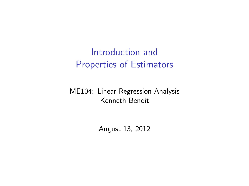Introduction and Properties of Estimators

ME104: Linear Regression Analysis Kenneth Benoit

August 13, 2012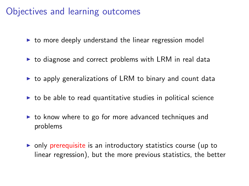# Objectives and learning outcomes

- $\triangleright$  to more deeply understand the linear regression model
- $\triangleright$  to diagnose and correct problems with LRM in real data
- $\triangleright$  to apply generalizations of LRM to binary and count data
- $\triangleright$  to be able to read quantitative studies in political science
- $\triangleright$  to know where to go for more advanced techniques and problems
- $\triangleright$  only prerequisite is an introductory statistics course (up to linear regression), but the more previous statistics, the better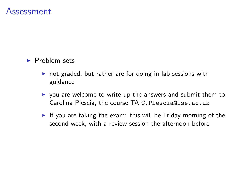#### Assessment

#### $\blacktriangleright$  Problem sets

- $\triangleright$  not graded, but rather are for doing in lab sessions with guidance
- $\triangleright$  you are welcome to write up the answers and submit them to Carolina Plescia, the course TA [C.Plescia@lse.ac.uk](mailto:C.Plescia@lse.ac.uk)
- If you are taking the exam: this will be Friday morning of the second week, with a review session the afternoon before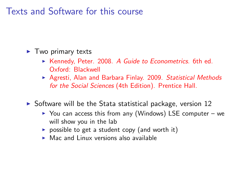### Texts and Software for this course

- $\blacktriangleright$  Two primary texts
	- ▶ Kennedy, Peter. 2008. A Guide to Econometrics. 6th ed. Oxford: Blackwell
	- ► Agresti, Alan and Barbara Finlay. 2009. Statistical Methods for the Social Sciences (4th Edition). Prentice Hall.
- $\triangleright$  Software will be the Stata statistical package, version 12
	- $\triangleright$  You can access this from any (Windows) LSE computer we will show you in the lab
	- possible to get a student copy (and worth it)
	- $\triangleright$  Mac and Linux versions also available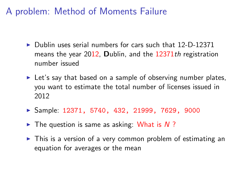A problem: Method of Moments Failure

- $\triangleright$  Dublin uses serial numbers for cars such that 12-D-12371 means the year 2012, Dublin, and the 12371th registration number issued
- $\blacktriangleright$  Let's say that based on a sample of observing number plates, you want to estimate the total number of licenses issued in 2012
- ▶ Sample: 12371, 5740, 432, 21999, 7629, 9000
- $\triangleright$  The question is same as asking: What is N?
- $\triangleright$  This is a version of a very common problem of estimating an equation for averages or the mean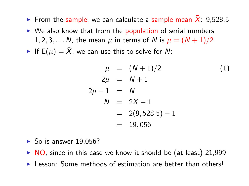- From the sample, we can calculate a sample mean  $\bar{X}$ : 9,528.5
- $\triangleright$  We also know that from the population of serial numbers 1, 2, 3,  $\dots$  N, the mean  $\mu$  in terms of N is  $\mu = (N+1)/2$
- If  $E(\mu) = \overline{X}$ , we can use this to solve for N:

$$
\mu = (N+1)/2 \qquad (1)
$$
  
\n
$$
2\mu = N+1
$$
  
\n
$$
2\mu - 1 = N
$$
  
\n
$$
N = 2\bar{X} - 1
$$
  
\n
$$
= 2(9,528.5) - 1
$$
  
\n
$$
= 19,056
$$

- $\blacktriangleright$  So is answer 19,056?
- $\triangleright$  NO, since in this case we know it should be (at least) 21,999
- $\blacktriangleright$  Lesson: Some methods of estimation are better than others!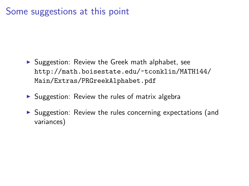# Some suggestions at this point

- $\triangleright$  Suggestion: Review the Greek math alphabet, see [http://math.boisestate.edu/~tconklin/MATH144/](http://math.boisestate.edu/~tconklin/MATH144/Main/Extras/PRGreekAlphabet.pdf) [Main/Extras/PRGreekAlphabet.pdf](http://math.boisestate.edu/~tconklin/MATH144/Main/Extras/PRGreekAlphabet.pdf)
- $\triangleright$  Suggestion: Review the rules of matrix algebra
- $\triangleright$  Suggestion: Review the rules concerning expectations (and variances)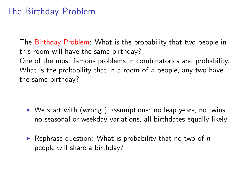# The Birthday Problem

The Birthday Problem: What is the probability that two people in this room will have the same birthday? One of the most famous problems in combinatorics and probability. What is the probability that in a room of  $n$  people, any two have the same birthday?

- $\triangleright$  We start with (wrong!) assumptions: no leap years, no twins, no seasonal or weekday variations, all birthdates equally likely
- $\triangleright$  Rephrase question: What is probability that no two of n people will share a birthday?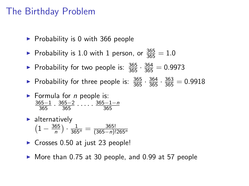#### The Birthday Problem

 $\blacktriangleright$  Probability is 0 with 366 people

Probability is 1.0 with 1 person, or  $\frac{365}{365} = 1.0$ 

- ▶ Probability for two people is:  $\frac{365}{365} \cdot \frac{364}{365} = 0.9973$
- ▶ Probability for three people is:  $\frac{365}{365} \cdot \frac{364}{365} \cdot \frac{363}{365} = 0.9918$
- $\blacktriangleright$  Formula for *n* people is:  $\frac{365-1}{365} \cdot \frac{365-2}{365} \cdot \cdots \cdot \frac{365-1-n}{365}$ 365
- $\blacktriangleright$  alternatively  $\left(1-\frac{365}{n}\right)$  $\frac{65}{n}$ ) ·  $\frac{1}{365^n}$  =  $\frac{365!}{(365-n)!265^n}$

 $\triangleright$  Crosses 0.50 at just 23 people!

 $\triangleright$  More than 0.75 at 30 people, and 0.99 at 57 people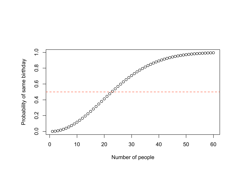

Number of people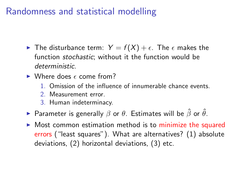# Randomness and statistical modelling

- In The disturbance term:  $Y = f(X) + \epsilon$ . The  $\epsilon$  makes the function stochastic; without it the function would be deterministic.
- $\triangleright$  Where does  $\epsilon$  come from?
	- 1. Omission of the influence of innumerable chance events.
	- 2. Measurement error.
	- 3. Human indeterminacy.
- ► Parameter is generally  $\beta$  or  $\theta$ . Estimates will be  $\hat{\beta}$  or  $\hat{\theta}$ .
- $\triangleright$  Most common estimation method is to minimize the squared errors ("least squares"). What are alternatives? (1) absolute deviations, (2) horizontal deviations, (3) etc.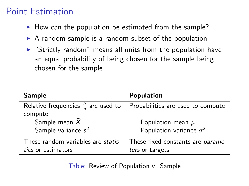# Point Estimation

- $\blacktriangleright$  How can the population be estimated from the sample?
- $\triangleright$  A random sample is a random subset of the population
- $\triangleright$  "Strictly random" means all units from the population have an equal probability of being chosen for the sample being chosen for the sample

| <b>Sample</b>                                                                      | <b>Population</b>                         |
|------------------------------------------------------------------------------------|-------------------------------------------|
| Relative frequencies $\frac{f_i}{n}$ are used to Probabilities are used to compute |                                           |
| compute:                                                                           |                                           |
| Sample mean $X$                                                                    | Population mean $\mu$                     |
| Sample variance $s^2$                                                              | Population variance $\sigma^2$            |
| These random variables are <i>statis-</i>                                          | These fixed constants are <i>parame</i> - |
| tics or estimators                                                                 | ters or targets                           |

Table: Review of Population v. Sample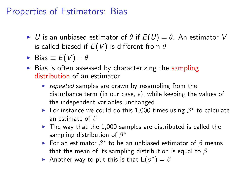# Properties of Estimators: Bias

- $\triangleright$  U is an unbiased estimator of  $\theta$  if  $E(U) = \theta$ . An estimator V is called biased if  $E(V)$  is different from  $\theta$
- $\triangleright$  Bias  $\equiv$   $E(V) \theta$
- $\triangleright$  Bias is often assessed by characterizing the sampling distribution of an estimator
	- $\triangleright$  repeated samples are drawn by resampling from the disturbance term (in our case,  $\epsilon$ ), while keeping the values of the independent variables unchanged
	- ► For instance we could do this 1,000 times using  $\beta^*$  to calculate an estimate of  $\beta$
	- $\blacktriangleright$  The way that the 1,000 samples are distributed is called the sampling distribution of  $\beta^*$
	- ► For an estimator  $\beta^*$  to be an unbiased estimator of  $\beta$  means that the mean of its sampling distribution is equal to  $\beta$
	- Another way to put this is that  $E(\beta^*) = \beta$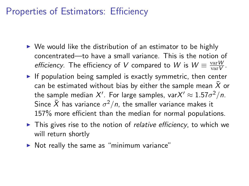# Properties of Estimators: Efficiency

- $\triangleright$  We would like the distribution of an estimator to be highly concentrated—to have a small variance. This is the notion of *efficiency*. The efficiency of V compared to W is  $W \equiv \frac{\text{var}W}{\text{var}V}$  $\frac{\text{var } \nu \nu}{\text{var } \mathcal{V}}$ .
- $\blacktriangleright$  If population being sampled is exactly symmetric, then center can be estimated without bias by either the sample mean  $X$  or the sample median  $X'$ . For large samples, var $X' \approx 1.57 \sigma^2/n$ . Since  $\bar{X}$  has variance  $\sigma^2/n$ , the smaller variance makes it 157% more efficient than the median for normal populations.
- $\triangleright$  This gives rise to the notion of *relative efficiency*, to which we will return shortly
- $\triangleright$  Not really the same as "minimum variance"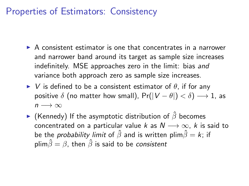## Properties of Estimators: Consistency

- $\triangleright$  A consistent estimator is one that concentrates in a narrower and narrower band around its target as sample size increases indefinitely. MSE approaches zero in the limit: bias and variance both approach zero as sample size increases.
- $\triangleright$  V is defined to be a consistent estimator of  $\theta$ , if for any positive  $\delta$  (no matter how small),  $Pr(|V - \theta|) < \delta$ )  $\longrightarrow$  1, as  $n \longrightarrow \infty$
- **IF** (Kennedy) If the asymptotic distribution of  $\hat{\beta}$  becomes concentrated on a particular value k as  $N \rightarrow \infty$ , k is said to be the *probability limit* of  $\hat{\beta}$  and is written plim $\hat{\beta} = k$ ; if plim $\hat{\beta} = \beta$ , then  $\hat{\beta}$  is said to be consistent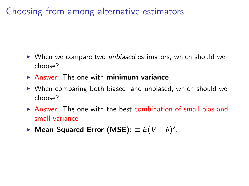# Choosing from among alternative estimators

- $\triangleright$  When we compare two *unbiased* estimators, which should we choose?
- $\triangleright$  Answer: The one with minimum variance
- $\triangleright$  When comparing both biased, and unbiased, which should we choose?
- $\triangleright$  Answer: The one with the best combination of small bias and small variance
- ► Mean Squared Error (MSE):  $\equiv E(V \theta)^2$ .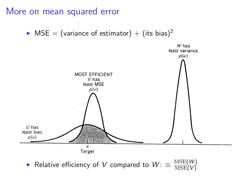#### More on mean squared error



► Relative efficiency of V compared to  $W: \equiv \frac{\text{MSE}(W)}{\text{MSE}(V)}$  $MSE(V)$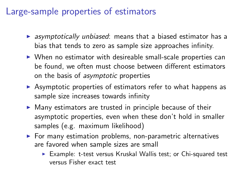# Large-sample properties of estimators

- $\triangleright$  asymptotically unbiased: means that a biased estimator has a bias that tends to zero as sample size approaches infinity.
- $\triangleright$  When no estimator with desireable small-scale properties can be found, we often must choose between different estimators on the basis of asymptotic properties
- $\triangleright$  Asymptotic properties of estimators refer to what happens as sample size increases towards infinity
- $\triangleright$  Many estimators are trusted in principle because of their asymptotic properties, even when these don't hold in smaller samples (e.g. maximum likelihood)
- $\triangleright$  For many estimation problems, non-parametric alternatives are favored when sample sizes are small
	- $\triangleright$  Example: t-test versus Kruskal Wallis test; or Chi-squared test versus Fisher exact test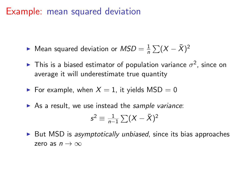#### Example: mean squared deviation

• Mean squared deviation or 
$$
MSD = \frac{1}{n} \sum (X - \bar{X})^2
$$

- $\blacktriangleright$  This is a biased estimator of population variance  $\sigma^2$ , since on average it will underestimate true quantity
- For example, when  $X = 1$ , it yields MSD = 0
- $\triangleright$  As a result, we use instead the sample variance:

$$
s^2 \equiv \frac{1}{n-1} \sum (X - \bar{X})^2
$$

 $\triangleright$  But MSD is asymptotically unbiased, since its bias approaches zero as  $n \to \infty$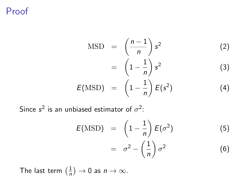# Proof

$$
MSD = \left(\frac{n-1}{n}\right)s^2 \qquad (2)
$$

$$
= \left(1 - \frac{1}{n}\right)s^2 \qquad (3)
$$

$$
E(MSD) = \left(1 - \frac{1}{n}\right)E(s^2) \qquad (4)
$$

Since  $s^2$  is an unbiased estimator of  $\sigma^2$ :

$$
E(MSD) = \left(1 - \frac{1}{n}\right) E(\sigma^2)
$$
\n
$$
= \sigma^2 - \left(\frac{1}{n}\right) \sigma^2
$$
\n(6)

The last term  $(\frac{1}{n})$  $\frac{1}{n}) \to 0$  as  $n \to \infty$ .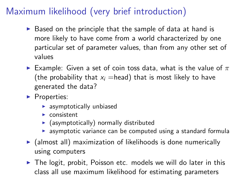# Maximum likelihood (very brief introduction)

- $\triangleright$  Based on the principle that the sample of data at hand is more likely to have come from a world characterized by one particular set of parameter values, than from any other set of values
- Example: Given a set of coin toss data, what is the value of  $\pi$ (the probability that  $x_i$  =head) that is most likely to have generated the data?
- $\blacktriangleright$  Properties:
	- $\blacktriangleright$  asymptotically unbiased
	- $\blacktriangleright$  consistent
	- $\triangleright$  (asymptotically) normally distributed
	- $\triangleright$  asymptotic variance can be computed using a standard formula
- $\triangleright$  (almost all) maximization of likelihoods is done numerically using computers
- $\triangleright$  The logit, probit, Poisson etc. models we will do later in this class all use maximum likelihood for estimating parameters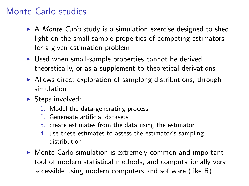# Monte Carlo studies

- $\triangleright$  A *Monte Carlo* study is a simulation exercise designed to shed light on the small-sample properties of competing estimators for a given estimation problem
- $\triangleright$  Used when small-sample properties cannot be derived theoretically, or as a supplement to theoretical derivations
- $\triangleright$  Allows direct exploration of samplong distributions, through simulation
- $\triangleright$  Steps involved:
	- 1. Model the data-generating process
	- 2. Genereate artificial datasets
	- 3. create estimates from the data using the estimator
	- 4. use these estimates to assess the estimator's sampling distribution
- $\triangleright$  Monte Carlo simulation is extremely common and important tool of modern statistical methods, and computationally very accessible using modern computers and software (like R)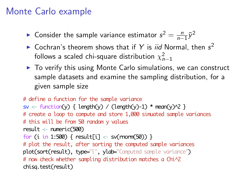# Monte Carlo example

► Consider the sample variance estimator  $s^2 = \frac{n}{n-1}\bar{y}^2$ 

- ► Cochran's theorem shows that if Y is *iid* Normal, then  $s^2$ follows a scaled chi-square distribution  $\chi^2_{n-1}$
- $\triangleright$  To verify this using Monte Carlo simulations, we can construct sample datasets and examine the sampling distribution, for a given sample size

```
# define a function for the sample variance
sv \langle function(y) { length(y) / (length(y)-1) * mean(y)^2 }
# create a loop to compute and store 1,000 simuated sample variances
# this will be from 50 random y values
result <- numeric(500)
for (i in 1:500) { result[i] \leftarrow sv(rnorm(50)) }
# plot the result, after sorting the computed sample variances
plot(sort(result), type="l", ylab="Computed sample variance")
# now check whether sampling distribution matches a Chi^2
chisq.test(result)
```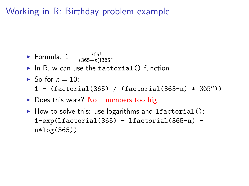Working in R: Birthday problem example

- ► Formula:  $1 \frac{365!}{(365-n)!365^n}$
- In R, w can use the factorial() function
- $\blacktriangleright$  So for  $n = 10$ :

1 -  $(factorial(365) / (factorial(365-n) * 365<sup>n</sup>))$ 

- Does this work? No numbers too big!
- $\blacktriangleright$  How to solve this: use logarithms and lfactorial():  $1$ -exp(lfactorial(365) - lfactorial(365-n) n\*log(365))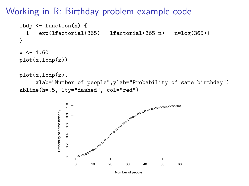## Working in R: Birthday problem example code

```
1bdp \leftarrow function(n) {
  1 - \exp(1factorial(365) - 1factorial(365-n) - n*log(365))
}
x \le -1:60plot(x,1bdp(x))plot(x,lbdp(x),
     xlab="Number of people",ylab="Probability of same birthday")
abline(h=.5, lty="dashed", col="red")
```